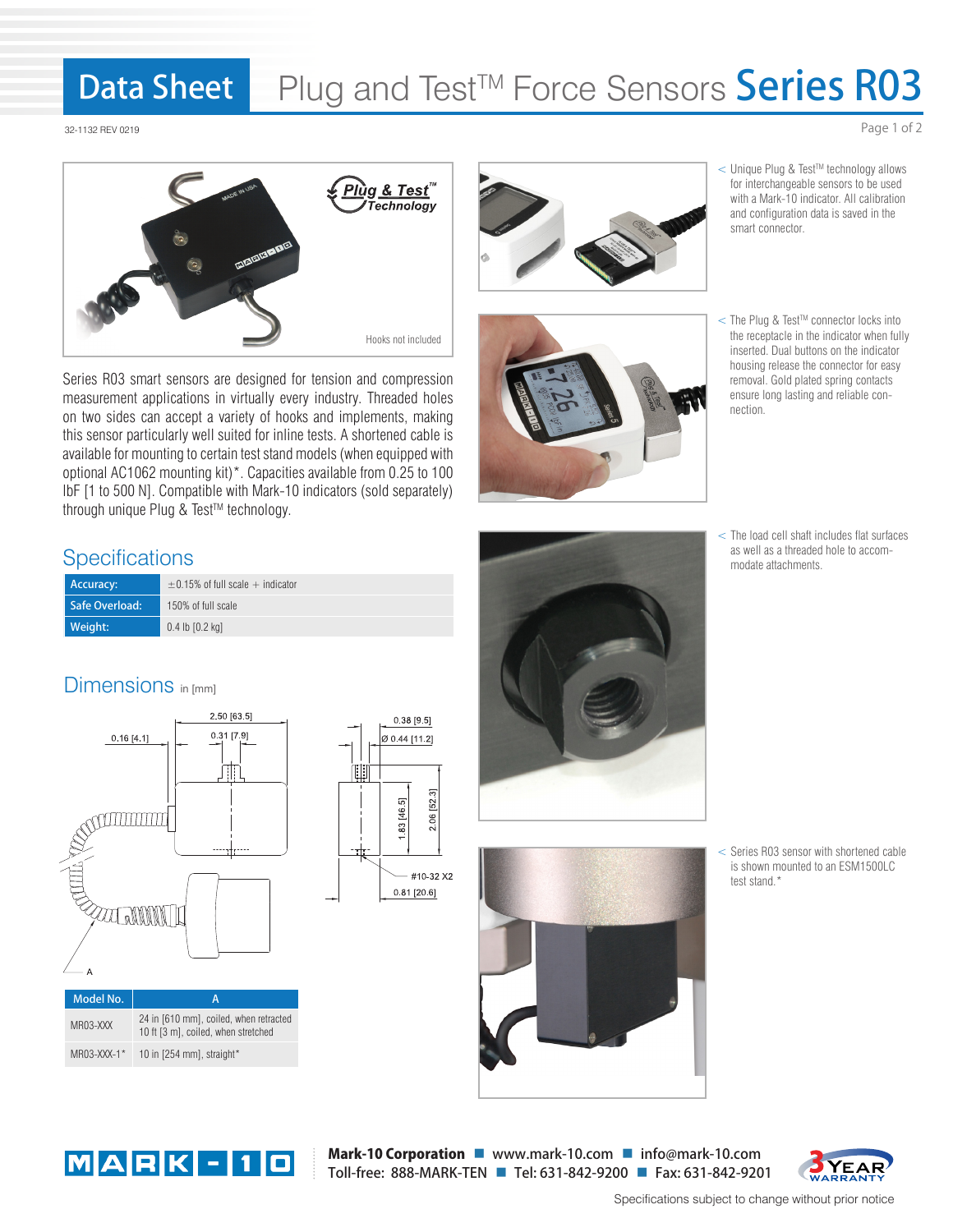#### Data Sheet Plug and Test™ Force Sensors Series R03

32-1132 REV 0219



Series R03 smart sensors are designed for tension and compression measurement applications in virtually every industry. Threaded holes on two sides can accept a variety of hooks and implements, making this sensor particularly well suited for inline tests. A shortened cable is available for mounting to certain test stand models (when equipped with optional AC1062 mounting kit)\*. Capacities available from 0.25 to 100 lbF [1 to 500 N]. Compatible with Mark-10 indicators (sold separately) through unique Plug & Test™ technology.

### **Specifications**

| Accuracy:      | $\pm$ 0.15% of full scale $+$ indicator |  |  |  |  |  |  |
|----------------|-----------------------------------------|--|--|--|--|--|--|
| Safe Overload: | 150% of full scale                      |  |  |  |  |  |  |
| Weight:        | $0.4$ lb $[0.2$ kg                      |  |  |  |  |  |  |

# Dimensions in [mm]









- < Unique Plug & TestTM technology allows for interchangeable sensors to be used with a Mark-10 indicator. All calibration and configuration data is saved in the smart connector.
- < The Plug & TestTM connector locks into the receptacle in the indicator when fully inserted. Dual buttons on the indicator housing release the connector for easy removal. Gold plated spring contacts ensure long lasting and reliable connection.
- < The load cell shaft includes flat surfaces as well as a threaded hole to accommodate attachments.

< Series R03 sensor with shortened cable is shown mounted to an ESM1500LC test stand.\*



MR03-XXX-1\* 10 in [254 mm], straight\*

Mark-10 Corporation U www.mark-10.com I info@mark-10.com Toll-free: 888-MARK-TEN Tel: 631-842-9200 Fax: 631-842-9201



Specifications subject to change without prior notice

Page 1 of 2